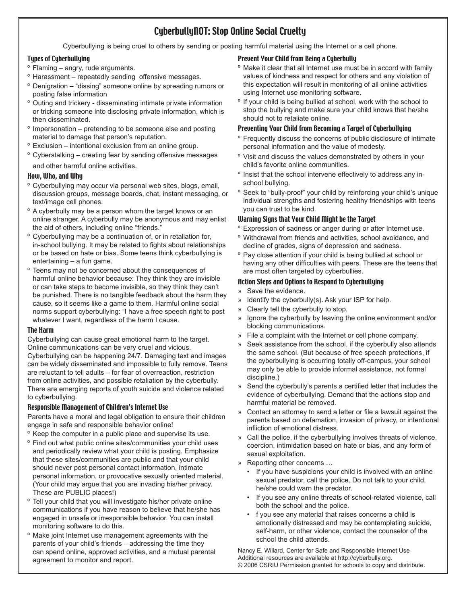## CyberbullyNOT: Stop Online Social Cruelty

Cyberbullying is being cruel to others by sending or posting harmful material using the Internet or a cell phone.

#### Types of Cyberbullying

- <sup>o</sup> Flaming angry, rude arguments.
- <sup>o</sup> Harassment repeatedly sending offensive messages.
- <sup>o</sup> Denigration "dissing" someone online by spreading rumors or posting false information
- <sup>o</sup> Outing and trickery disseminating intimate private information or tricking someone into disclosing private information, which is then disseminated.
- <sup>o</sup> Impersonation pretending to be someone else and posting material to damage that person's reputation.
- Exclusion intentional exclusion from an online group. º
- <sup>o</sup> Cyberstalking creating fear by sending offensive messages and other harmful online activities.

#### How, Who, and Why

- <sup>o</sup> Cyberbullying may occur via personal web sites, blogs, email, discussion groups, message boards, chat, instant messaging, or text/image cell phones.
- <sup>o</sup> A cyberbully may be a person whom the target knows or an online stranger. A cyberbully may be anonymous and may enlist the aid of others, including online "friends."
- <sup>o</sup> Cyberbullying may be a continuation of, or in retaliation for, in-school bullying. It may be related to fights about relationships or be based on hate or bias. Some teens think cyberbullying is entertaining – a fun game.
- <sup>o</sup> Teens may not be concerned about the consequences of harmful online behavior because: They think they are invisible or can take steps to become invisible, so they think they can't be punished. There is no tangible feedback about the harm they cause, so it seems like a game to them. Harmful online social norms support cyberbullying: "I have a free speech right to post whatever I want, regardless of the harm I cause.

#### The Harm

Cyberbullying can cause great emotional harm to the target. Online communications can be very cruel and vicious. Cyberbullying can be happening 24/7. Damaging text and images can be widely disseminated and impossible to fully remove. Teens are reluctant to tell adults – for fear of overreaction, restriction from online activities, and possible retaliation by the cyberbully. There are emerging reports of youth suicide and violence related to cyberbullying.

#### Responsible Management of Children's Internet Use

Parents have a moral and legal obligation to ensure their children engage in safe and responsible behavior online!

- <sup>o</sup> Keep the computer in a public place and supervise its use.
- <sup>o</sup> Find out what public online sites/communities your child uses and periodically review what your child is posting. Emphasize that these sites/communities are public and that your child should never post personal contact information, intimate personal information, or provocative sexually oriented material. (Your child may argue that you are invading his/her privacy. These are PUBLIC places!)
- Tell your child that you will investigate his/her private online º communications if you have reason to believe that he/she has engaged in unsafe or irresponsible behavior. You can install monitoring software to do this.
- <sup>o</sup> Make joint Internet use management agreements with the parents of your child's friends – addressing the time they can spend online, approved activities, and a mutual parental agreement to monitor and report.

#### Prevent Your Child from Being a Cyberbully

- <sup>o</sup> Make it clear that all Internet use must be in accord with family values of kindness and respect for others and any violation of this expectation will result in monitoring of all online activities using Internet use monitoring software.
- <sup>o</sup> If your child is being bullied at school, work with the school to stop the bullying and make sure your child knows that he/she should not to retaliate online.

#### Preventing Your Child from Becoming a Target of Cyberbullying

- <sup>o</sup> Frequently discuss the concerns of public disclosure of intimate personal information and the value of modesty.
- <sup>o</sup> Visit and discuss the values demonstrated by others in your child's favorite online communities.
- <sup>o</sup> Insist that the school intervene effectively to address any inschool bullying.
- <sup>o</sup> Seek to "bully-proof" your child by reinforcing your child's unique individual strengths and fostering healthy friendships with teens you can trust to be kind.

#### Warning Signs that Your Child Might be the Target

- Expression of sadness or anger during or after Internet use. º
- <sup>o</sup> Withdrawal from friends and activities, school avoidance, and decline of grades, signs of depression and sadness.
- <sup>o</sup> Pay close attention if your child is being bullied at school or having any other difficulties with peers. These are the teens that are most often targeted by cyberbullies.

#### Action Steps and Options to Respond to Cyberbullying

- » Save the evidence.
- » Identify the cyberbully(s). Ask your ISP for help.
- Clearly tell the cyberbully to stop. »
- Ignore the cyberbully by leaving the online environment and/or blocking communications. »
- File a complaint with the Internet or cell phone company. »
- Seek assistance from the school, if the cyberbully also attends the same school. (But because of free speech protections, if the cyberbullying is occurring totally off-campus, your school may only be able to provide informal assistance, not formal discipline.) »
- Send the cyberbully's parents a certified letter that includes the evidence of cyberbullying. Demand that the actions stop and harmful material be removed. »
- Contact an attorney to send a letter or file a lawsuit against the parents based on defamation, invasion of privacy, or intentional infliction of emotional distress. »
- Call the police, if the cyberbullying involves threats of violence, » coercion, intimidation based on hate or bias, and any form of sexual exploitation.
- Reporting other concerns … »
	- If you have suspicions your child is involved with an online sexual predator, call the police. Do not talk to your child, he/she could warn the predator.
	- If you see any online threats of school-related violence, call both the school and the police.
	- f you see any material that raises concerns a child is emotionally distressed and may be contemplating suicide, self-harm, or other violence, contact the counselor of the school the child attends. •

Nancy E. Willard, Center for Safe and Responsible Internet Use Additional resources are available at http://cyberbully.org. © 2006 CSRIU Permission granted for schools to copy and distribute.